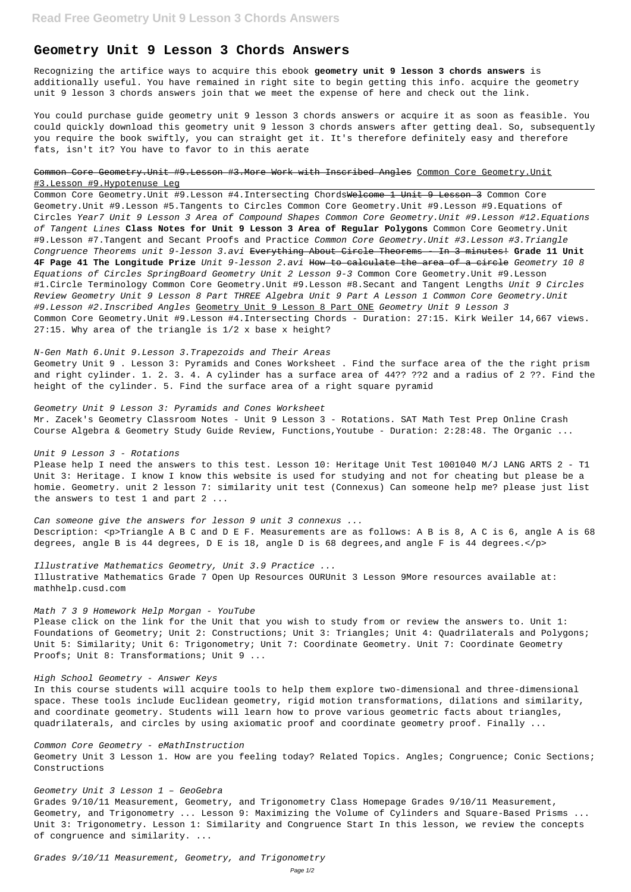# **Geometry Unit 9 Lesson 3 Chords Answers**

Recognizing the artifice ways to acquire this ebook **geometry unit 9 lesson 3 chords answers** is additionally useful. You have remained in right site to begin getting this info. acquire the geometry unit 9 lesson 3 chords answers join that we meet the expense of here and check out the link.

You could purchase guide geometry unit 9 lesson 3 chords answers or acquire it as soon as feasible. You could quickly download this geometry unit 9 lesson 3 chords answers after getting deal. So, subsequently you require the book swiftly, you can straight get it. It's therefore definitely easy and therefore fats, isn't it? You have to favor to in this aerate

## Common Core Geometry.Unit #9.Lesson #3.More Work with Inscribed Angles Common Core Geometry.Unit #3.Lesson #9.Hypotenuse Leg

Common Core Geometry. Unit #9. Lesson #4. Intersecting ChordsWelcome 1 Unit 9 Lesson 3 Common Core Geometry.Unit #9.Lesson #5.Tangents to Circles Common Core Geometry.Unit #9.Lesson #9.Equations of Circles Year7 Unit 9 Lesson 3 Area of Compound Shapes Common Core Geometry.Unit #9.Lesson #12.Equations of Tangent Lines **Class Notes for Unit 9 Lesson 3 Area of Regular Polygons** Common Core Geometry.Unit #9.Lesson #7.Tangent and Secant Proofs and Practice Common Core Geometry.Unit #3.Lesson #3.Triangle Congruence Theorems unit 9-lesson 3.avi Everything About Circle Theorems - In 3 minutes! **Grade 11 Unit 4F Page 41 The Longitude Prize** Unit 9-lesson 2.avi How to calculate the area of a circle Geometry 10 8 Equations of Circles SpringBoard Geometry Unit 2 Lesson 9-3 Common Core Geometry.Unit #9.Lesson #1.Circle Terminology Common Core Geometry.Unit #9.Lesson #8.Secant and Tangent Lengths Unit 9 Circles Review Geometry Unit 9 Lesson 8 Part THREE Algebra Unit 9 Part A Lesson 1 Common Core Geometry.Unit #9.Lesson #2.Inscribed Angles Geometry Unit 9 Lesson 8 Part ONE Geometry Unit 9 Lesson 3 Common Core Geometry.Unit #9.Lesson #4.Intersecting Chords - Duration: 27:15. Kirk Weiler 14,667 views. 27:15. Why area of the triangle is 1/2 x base x height?

Please click on the link for the Unit that you wish to study from or review the answers to. Unit 1: Foundations of Geometry; Unit 2: Constructions; Unit 3: Triangles; Unit 4: Quadrilaterals and Polygons; Unit 5: Similarity; Unit 6: Trigonometry; Unit 7: Coordinate Geometry. Unit 7: Coordinate Geometry Proofs; Unit 8: Transformations; Unit 9 ...

#### N-Gen Math 6.Unit 9.Lesson 3.Trapezoids and Their Areas

Geometry Unit 9 . Lesson 3: Pyramids and Cones Worksheet . Find the surface area of the the right prism and right cylinder. 1. 2. 3. 4. A cylinder has a surface area of 44?? ??2 and a radius of 2 ??. Find the height of the cylinder. 5. Find the surface area of a right square pyramid

#### Geometry Unit 9 Lesson 3: Pyramids and Cones Worksheet

Mr. Zacek's Geometry Classroom Notes - Unit 9 Lesson 3 - Rotations. SAT Math Test Prep Online Crash Course Algebra & Geometry Study Guide Review, Functions,Youtube - Duration: 2:28:48. The Organic ...

#### Unit 9 Lesson 3 - Rotations

Please help I need the answers to this test. Lesson 10: Heritage Unit Test 1001040 M/J LANG ARTS 2 - T1 Unit 3: Heritage. I know I know this website is used for studying and not for cheating but please be a homie. Geometry. unit 2 lesson 7: similarity unit test (Connexus) Can someone help me? please just list the answers to test 1 and part 2 ...

Can someone give the answers for lesson 9 unit 3 connexus ... Description: <p>Triangle A B C and D E F. Measurements are as follows: A B is 8, A C is 6, angle A is 68 degrees, angle B is 44 degrees, D E is 18, angle D is 68 degrees,and angle F is 44 degrees.</p>

### Illustrative Mathematics Geometry, Unit 3.9 Practice ...

Illustrative Mathematics Grade 7 Open Up Resources OURUnit 3 Lesson 9More resources available at: mathhelp.cusd.com

## Math 7 3 9 Homework Help Morgan - YouTube

## High School Geometry - Answer Keys

In this course students will acquire tools to help them explore two-dimensional and three-dimensional space. These tools include Euclidean geometry, rigid motion transformations, dilations and similarity, and coordinate geometry. Students will learn how to prove various geometric facts about triangles, quadrilaterals, and circles by using axiomatic proof and coordinate geometry proof. Finally ...

Common Core Geometry - eMathInstruction Geometry Unit 3 Lesson 1. How are you feeling today? Related Topics. Angles; Congruence; Conic Sections; Constructions

Geometry Unit 3 Lesson 1 – GeoGebra

Grades 9/10/11 Measurement, Geometry, and Trigonometry Class Homepage Grades 9/10/11 Measurement, Geometry, and Trigonometry ... Lesson 9: Maximizing the Volume of Cylinders and Square-Based Prisms ... Unit 3: Trigonometry. Lesson 1: Similarity and Congruence Start In this lesson, we review the concepts of congruence and similarity. ...

Grades 9/10/11 Measurement, Geometry, and Trigonometry